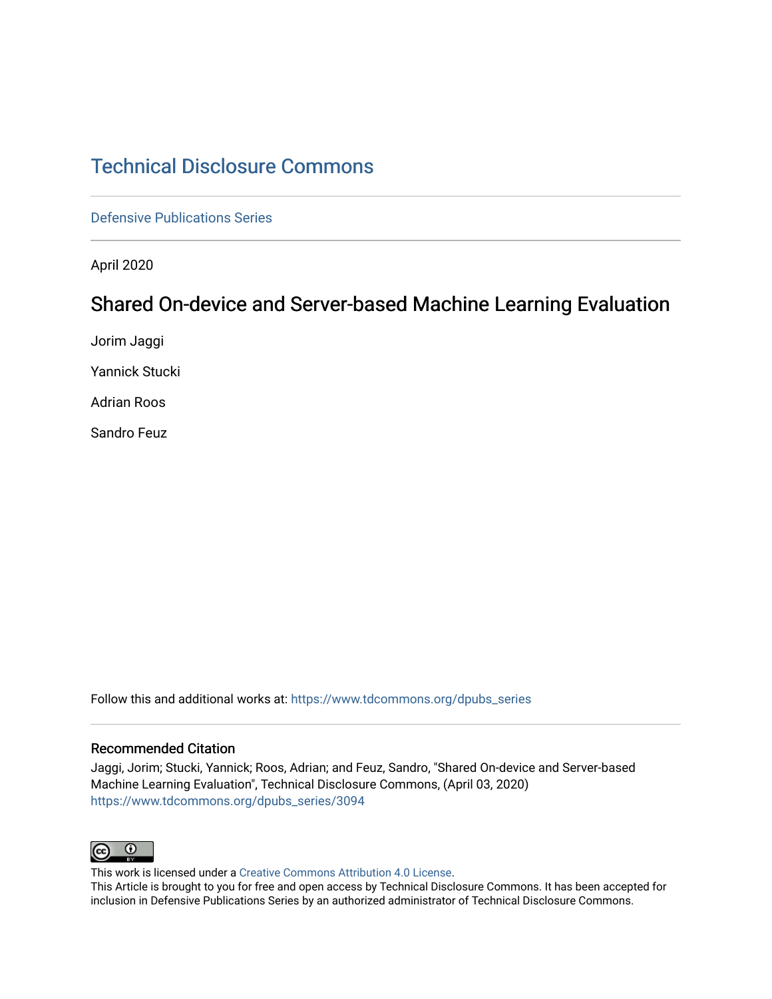# [Technical Disclosure Commons](https://www.tdcommons.org/)

[Defensive Publications Series](https://www.tdcommons.org/dpubs_series)

April 2020

## Shared On-device and Server-based Machine Learning Evaluation

Jorim Jaggi

Yannick Stucki

Adrian Roos

Sandro Feuz

Follow this and additional works at: [https://www.tdcommons.org/dpubs\\_series](https://www.tdcommons.org/dpubs_series?utm_source=www.tdcommons.org%2Fdpubs_series%2F3094&utm_medium=PDF&utm_campaign=PDFCoverPages) 

#### Recommended Citation

Jaggi, Jorim; Stucki, Yannick; Roos, Adrian; and Feuz, Sandro, "Shared On-device and Server-based Machine Learning Evaluation", Technical Disclosure Commons, (April 03, 2020) [https://www.tdcommons.org/dpubs\\_series/3094](https://www.tdcommons.org/dpubs_series/3094?utm_source=www.tdcommons.org%2Fdpubs_series%2F3094&utm_medium=PDF&utm_campaign=PDFCoverPages)



This work is licensed under a [Creative Commons Attribution 4.0 License](http://creativecommons.org/licenses/by/4.0/deed.en_US).

This Article is brought to you for free and open access by Technical Disclosure Commons. It has been accepted for inclusion in Defensive Publications Series by an authorized administrator of Technical Disclosure Commons.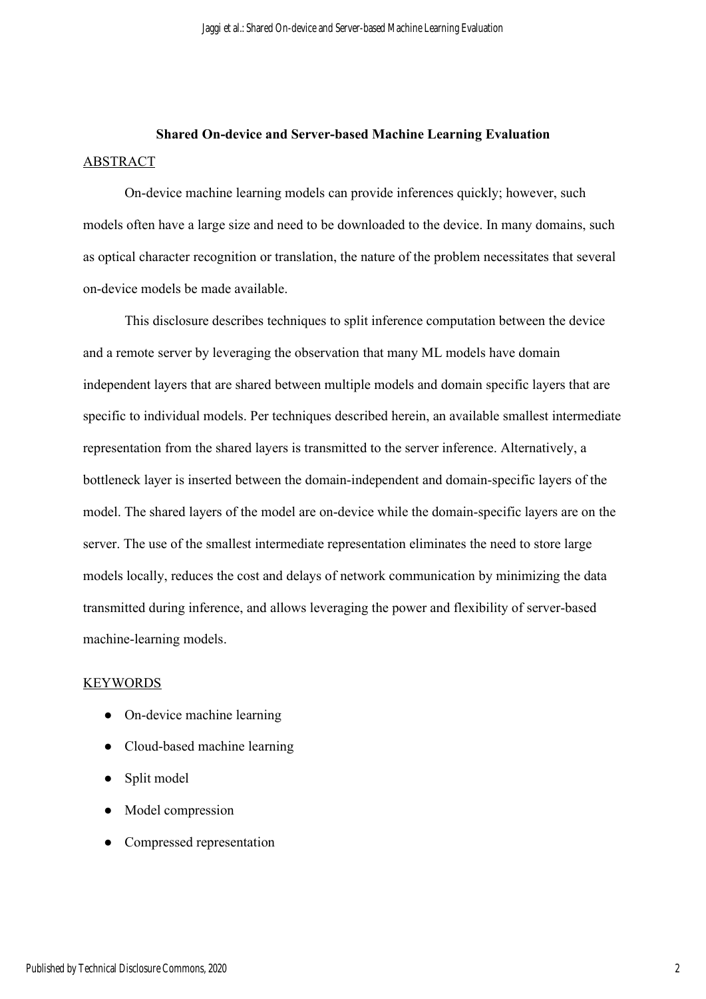# **Shared On-device and Server-based Machine Learning Evaluation**  ABSTRACT

On-device machine learning models can provide inferences quickly; however, such models often have a large size and need to be downloaded to the device. In many domains, such as optical character recognition or translation, the nature of the problem necessitates that several on-device models be made available.

This disclosure describes techniques to split inference computation between the device and a remote server by leveraging the observation that many ML models have domain independent layers that are shared between multiple models and domain specific layers that are specific to individual models. Per techniques described herein, an available smallest intermediate representation from the shared layers is transmitted to the server inference. Alternatively, a bottleneck layer is inserted between the domain-independent and domain-specific layers of the model. The shared layers of the model are on-device while the domain-specific layers are on the server. The use of the smallest intermediate representation eliminates the need to store large models locally, reduces the cost and delays of network communication by minimizing the data transmitted during inference, and allows leveraging the power and flexibility of server-based machine-learning models.

### KEYWORDS

- On-device machine learning
- Cloud-based machine learning
- Split model
- Model compression
- Compressed representation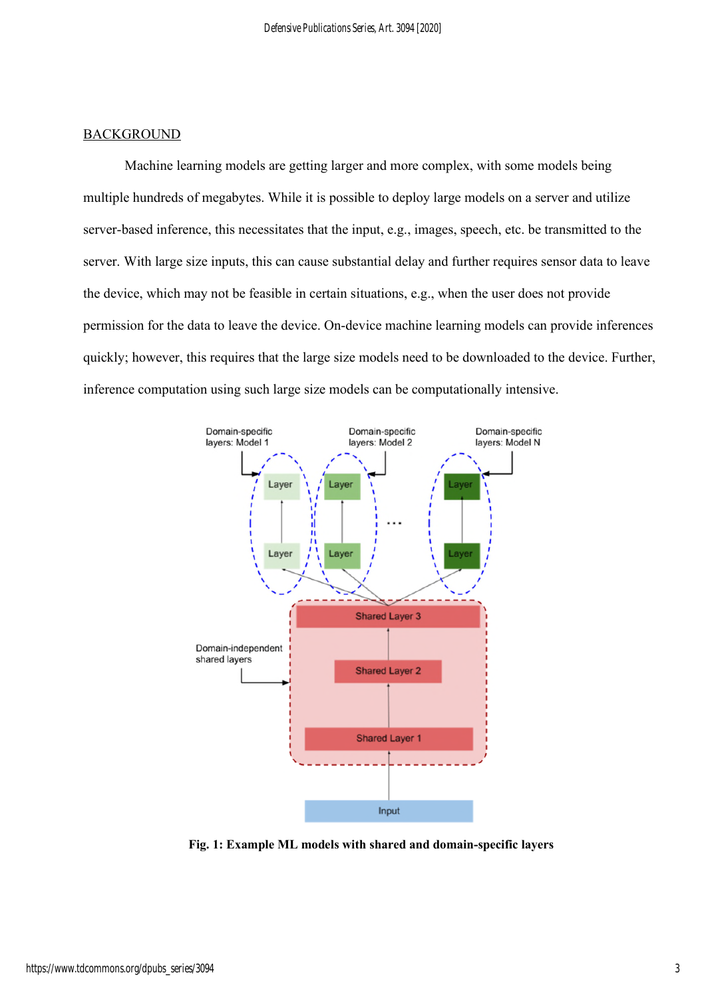## BACKGROUND

Machine learning models are getting larger and more complex, with some models being multiple hundreds of megabytes. While it is possible to deploy large models on a server and utilize server-based inference, this necessitates that the input, e.g., images, speech, etc. be transmitted to the server. With large size inputs, this can cause substantial delay and further requires sensor data to leave the device, which may not be feasible in certain situations, e.g., when the user does not provide permission for the data to leave the device. On-device machine learning models can provide inferences quickly; however, this requires that the large size models need to be downloaded to the device. Further, inference computation using such large size models can be computationally intensive.



**Fig. 1: Example ML models with shared and domain-specific layers**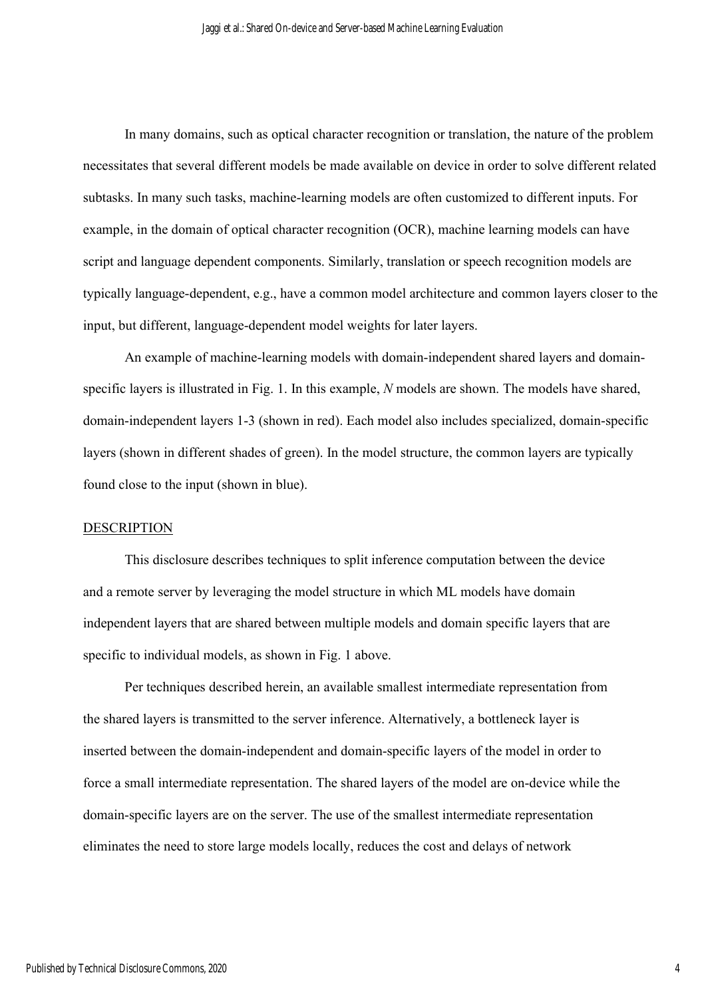In many domains, such as optical character recognition or translation, the nature of the problem necessitates that several different models be made available on device in order to solve different related subtasks. In many such tasks, machine-learning models are often customized to different inputs. For example, in the domain of optical character recognition (OCR), machine learning models can have script and language dependent components. Similarly, translation or speech recognition models are typically language-dependent, e.g., have a common model architecture and common layers closer to the input, but different, language-dependent model weights for later layers.

An example of machine-learning models with domain-independent shared layers and domainspecific layers is illustrated in Fig. 1. In this example, *N* models are shown. The models have shared, domain-independent layers 1-3 (shown in red). Each model also includes specialized, domain-specific layers (shown in different shades of green). In the model structure, the common layers are typically found close to the input (shown in blue).

### DESCRIPTION

This disclosure describes techniques to split inference computation between the device and a remote server by leveraging the model structure in which ML models have domain independent layers that are shared between multiple models and domain specific layers that are specific to individual models, as shown in Fig. 1 above.

Per techniques described herein, an available smallest intermediate representation from the shared layers is transmitted to the server inference. Alternatively, a bottleneck layer is inserted between the domain-independent and domain-specific layers of the model in order to force a small intermediate representation. The shared layers of the model are on-device while the domain-specific layers are on the server. The use of the smallest intermediate representation eliminates the need to store large models locally, reduces the cost and delays of network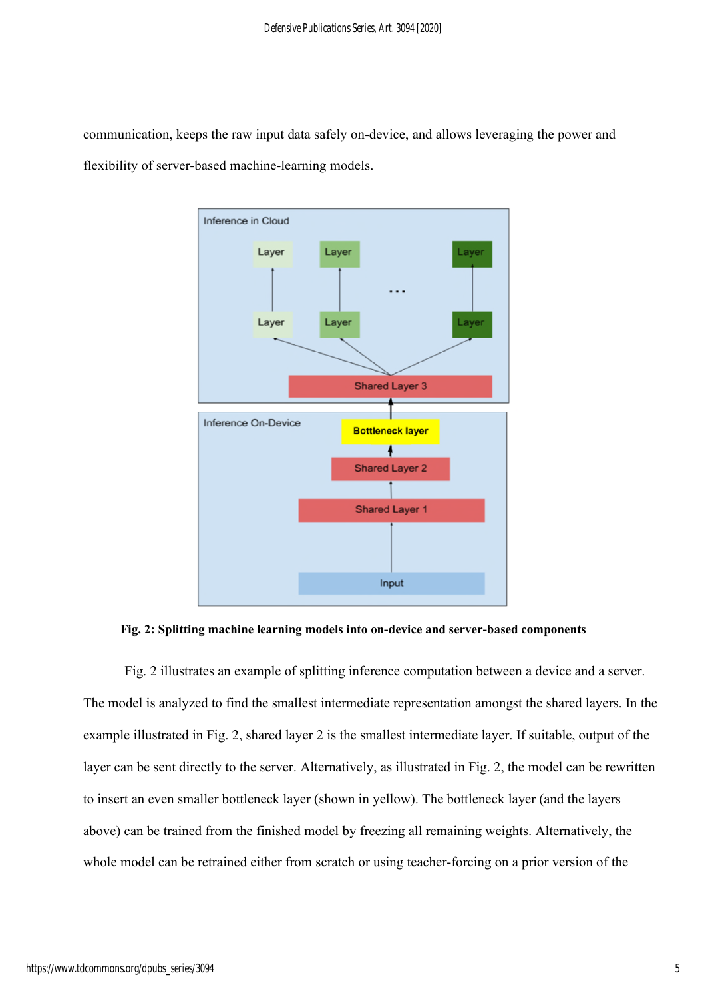communication, keeps the raw input data safely on-device, and allows leveraging the power and flexibility of server-based machine-learning models.



**Fig. 2: Splitting machine learning models into on-device and server-based components** 

Fig. 2 illustrates an example of splitting inference computation between a device and a server. The model is analyzed to find the smallest intermediate representation amongst the shared layers. In the example illustrated in Fig. 2, shared layer 2 is the smallest intermediate layer. If suitable, output of the layer can be sent directly to the server. Alternatively, as illustrated in Fig. 2, the model can be rewritten to insert an even smaller bottleneck layer (shown in yellow). The bottleneck layer (and the layers above) can be trained from the finished model by freezing all remaining weights. Alternatively, the whole model can be retrained either from scratch or using teacher-forcing on a prior version of the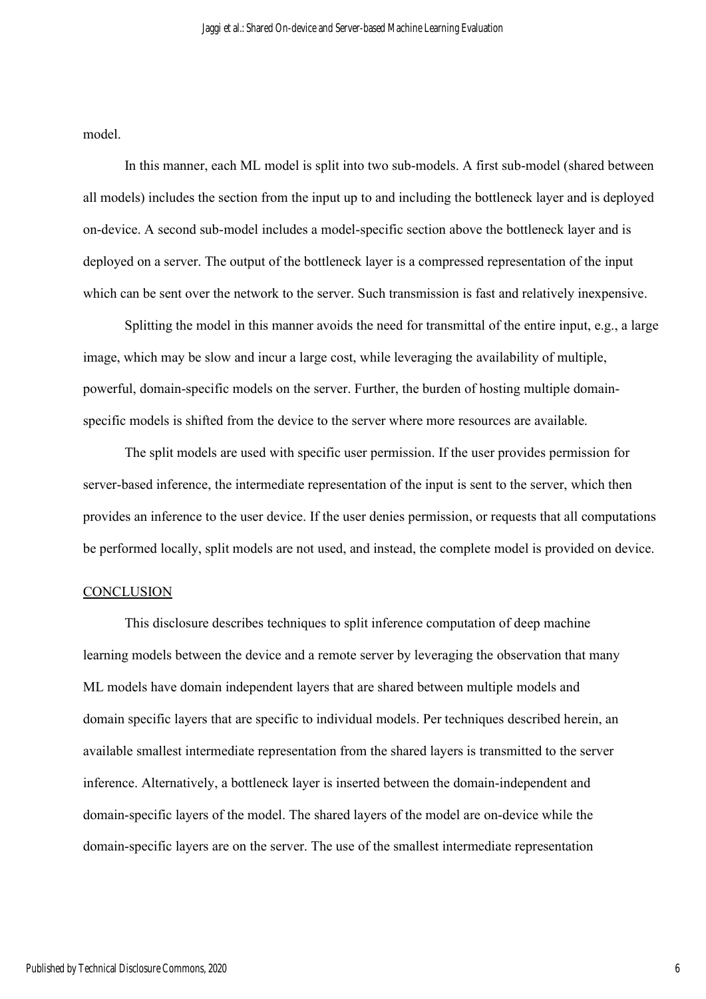model.

In this manner, each ML model is split into two sub-models. A first sub-model (shared between all models) includes the section from the input up to and including the bottleneck layer and is deployed on-device. A second sub-model includes a model-specific section above the bottleneck layer and is deployed on a server. The output of the bottleneck layer is a compressed representation of the input which can be sent over the network to the server. Such transmission is fast and relatively inexpensive.

Splitting the model in this manner avoids the need for transmittal of the entire input, e.g., a large image, which may be slow and incur a large cost, while leveraging the availability of multiple, powerful, domain-specific models on the server. Further, the burden of hosting multiple domainspecific models is shifted from the device to the server where more resources are available.

The split models are used with specific user permission. If the user provides permission for server-based inference, the intermediate representation of the input is sent to the server, which then provides an inference to the user device. If the user denies permission, or requests that all computations be performed locally, split models are not used, and instead, the complete model is provided on device.

### **CONCLUSION**

This disclosure describes techniques to split inference computation of deep machine learning models between the device and a remote server by leveraging the observation that many ML models have domain independent layers that are shared between multiple models and domain specific layers that are specific to individual models. Per techniques described herein, an available smallest intermediate representation from the shared layers is transmitted to the server inference. Alternatively, a bottleneck layer is inserted between the domain-independent and domain-specific layers of the model. The shared layers of the model are on-device while the domain-specific layers are on the server. The use of the smallest intermediate representation